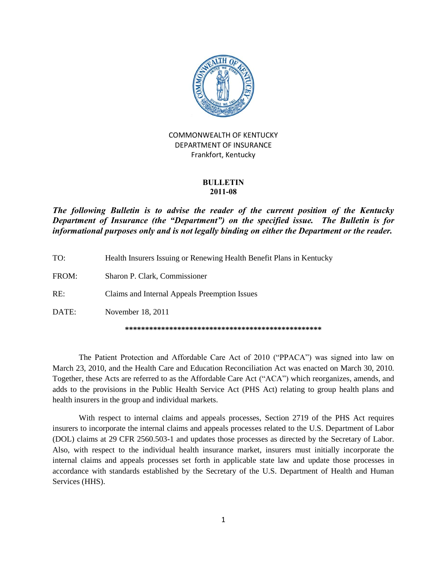

### COMMONWEALTH OF KENTUCKY DEPARTMENT OF INSURANCE Frankfort, Kentucky

#### **BULLETIN 2011-08**

### *The following Bulletin is to advise the reader of the current position of the Kentucky*  **Department of Insurance (the "Department") on the specified issue. The Bulletin is for** *informational purposes only and is not legally binding on either the Department or the reader.*

TO: Health Insurers Issuing or Renewing Health Benefit Plans in Kentucky FROM: Sharon P. Clark, Commissioner RE: Claims and Internal Appeals Preemption Issues DATE: November 18, 2011 **\*\*\*\*\*\*\*\*\*\*\*\*\*\*\*\*\*\*\*\*\*\*\*\*\*\*\*\*\*\*\*\*\*\*\*\*\*\*\*\*\*\*\*\*\*\*\*\*\***

The Patient Protection and Affordable Care Act of 2010 ("PPACA") was signed into law on March 23, 2010, and the Health Care and Education Reconciliation Act was enacted on March 30, 2010. Together, these Acts are referred to as the Affordable Care Act ("ACA") which reorganizes, amends, and adds to the provisions in the Public Health Service Act (PHS Act) relating to group health plans and health insurers in the group and individual markets.

With respect to internal claims and appeals processes, Section 2719 of the PHS Act requires insurers to incorporate the internal claims and appeals processes related to the U.S. Department of Labor (DOL) claims at 29 CFR 2560.503-1 and updates those processes as directed by the Secretary of Labor. Also, with respect to the individual health insurance market, insurers must initially incorporate the internal claims and appeals processes set forth in applicable state law and update those processes in accordance with standards established by the Secretary of the U.S. Department of Health and Human Services (HHS).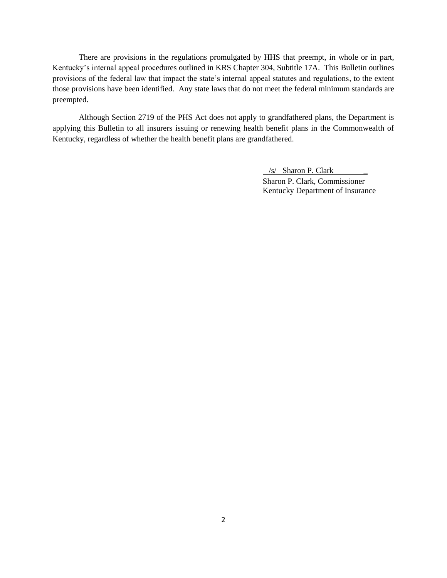There are provisions in the regulations promulgated by HHS that preempt, in whole or in part, Kentucky's internal appeal procedures outlined in KRS Chapter 304, Subtitle 17A. This Bulletin outlines provisions of the federal law that impact the state's internal appeal statutes and regulations, to the extent those provisions have been identified. Any state laws that do not meet the federal minimum standards are preempted.

Although Section 2719 of the PHS Act does not apply to grandfathered plans, the Department is applying this Bulletin to all insurers issuing or renewing health benefit plans in the Commonwealth of Kentucky, regardless of whether the health benefit plans are grandfathered.

> $/s/$  Sharon P. Clark Sharon P. Clark, Commissioner Kentucky Department of Insurance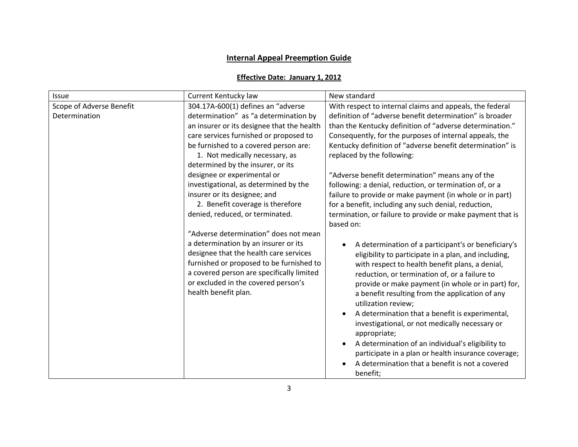# **Internal Appeal Preemption Guide**

## **Effective Date: January 1, 2012**

| Issue                    | Current Kentucky law                       | New standard                                               |
|--------------------------|--------------------------------------------|------------------------------------------------------------|
| Scope of Adverse Benefit | 304.17A-600(1) defines an "adverse         | With respect to internal claims and appeals, the federal   |
| Determination            | determination" as "a determination by      | definition of "adverse benefit determination" is broader   |
|                          | an insurer or its designee that the health | than the Kentucky definition of "adverse determination."   |
|                          | care services furnished or proposed to     | Consequently, for the purposes of internal appeals, the    |
|                          | be furnished to a covered person are:      | Kentucky definition of "adverse benefit determination" is  |
|                          | 1. Not medically necessary, as             | replaced by the following:                                 |
|                          | determined by the insurer, or its          |                                                            |
|                          | designee or experimental or                | "Adverse benefit determination" means any of the           |
|                          | investigational, as determined by the      | following: a denial, reduction, or termination of, or a    |
|                          | insurer or its designee; and               | failure to provide or make payment (in whole or in part)   |
|                          | 2. Benefit coverage is therefore           | for a benefit, including any such denial, reduction,       |
|                          | denied, reduced, or terminated.            | termination, or failure to provide or make payment that is |
|                          |                                            | based on:                                                  |
|                          | "Adverse determination" does not mean      |                                                            |
|                          | a determination by an insurer or its       | A determination of a participant's or beneficiary's        |
|                          | designee that the health care services     | eligibility to participate in a plan, and including,       |
|                          | furnished or proposed to be furnished to   | with respect to health benefit plans, a denial,            |
|                          | a covered person are specifically limited  | reduction, or termination of, or a failure to              |
|                          | or excluded in the covered person's        | provide or make payment (in whole or in part) for,         |
|                          | health benefit plan.                       | a benefit resulting from the application of any            |
|                          |                                            | utilization review;                                        |
|                          |                                            | A determination that a benefit is experimental,            |
|                          |                                            | investigational, or not medically necessary or             |
|                          |                                            | appropriate;                                               |
|                          |                                            | A determination of an individual's eligibility to          |
|                          |                                            | participate in a plan or health insurance coverage;        |
|                          |                                            | A determination that a benefit is not a covered            |
|                          |                                            | benefit;                                                   |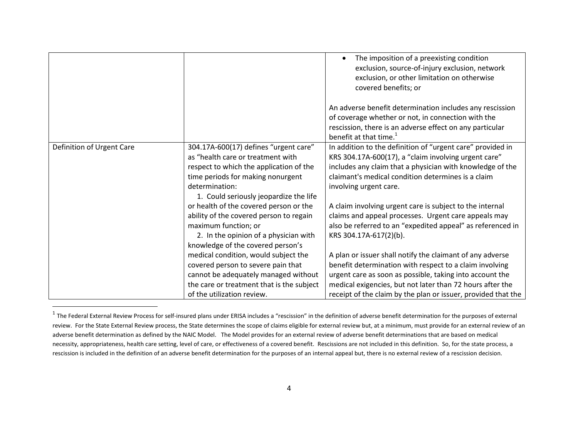|                           |                                                                                                                                                                                                                        | The imposition of a preexisting condition<br>exclusion, source-of-injury exclusion, network<br>exclusion, or other limitation on otherwise<br>covered benefits; or<br>An adverse benefit determination includes any rescission<br>of coverage whether or not, in connection with the<br>rescission, there is an adverse effect on any particular<br>benefit at that time. <sup>1</sup> |
|---------------------------|------------------------------------------------------------------------------------------------------------------------------------------------------------------------------------------------------------------------|----------------------------------------------------------------------------------------------------------------------------------------------------------------------------------------------------------------------------------------------------------------------------------------------------------------------------------------------------------------------------------------|
| Definition of Urgent Care | 304.17A-600(17) defines "urgent care"<br>as "health care or treatment with<br>respect to which the application of the<br>time periods for making nonurgent<br>determination:<br>1. Could seriously jeopardize the life | In addition to the definition of "urgent care" provided in<br>KRS 304.17A-600(17), a "claim involving urgent care"<br>includes any claim that a physician with knowledge of the<br>claimant's medical condition determines is a claim<br>involving urgent care.                                                                                                                        |
|                           | or health of the covered person or the<br>ability of the covered person to regain<br>maximum function; or<br>2. In the opinion of a physician with<br>knowledge of the covered person's                                | A claim involving urgent care is subject to the internal<br>claims and appeal processes. Urgent care appeals may<br>also be referred to an "expedited appeal" as referenced in<br>KRS 304.17A-617(2)(b).                                                                                                                                                                               |
|                           | medical condition, would subject the<br>covered person to severe pain that<br>cannot be adequately managed without<br>the care or treatment that is the subject<br>of the utilization review.                          | A plan or issuer shall notify the claimant of any adverse<br>benefit determination with respect to a claim involving<br>urgent care as soon as possible, taking into account the<br>medical exigencies, but not later than 72 hours after the<br>receipt of the claim by the plan or issuer, provided that the                                                                         |

The Federal External Review Process for self-insured plans under ERISA includes a "rescission" in the definition of adverse benefit determination for the purposes of external <sup>1</sup><br>The Federal External Review Process for sel review. For the State External Review process, the State determines the scope of claims eligible for external review but, at a minimum, must provide for an external review of an adverse benefit determination as defined by the NAIC Model. The Model provides for an external review of adverse benefit determinations that are based on medical necessity, appropriateness, health care setting, level of care, or effectiveness of a covered benefit. Rescissions are not included in this definition. So, for the state process, a rescission is included in the definition of an adverse benefit determination for the purposes of an internal appeal but, there is no external review of a rescission decision.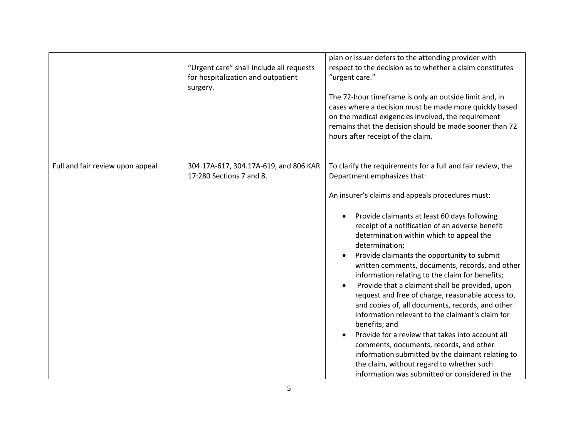|                                  | "Urgent care" shall include all requests<br>for hospitalization and outpatient<br>surgery. | plan or issuer defers to the attending provider with<br>respect to the decision as to whether a claim constitutes<br>"urgent care."<br>The 72-hour timeframe is only an outside limit and, in<br>cases where a decision must be made more quickly based<br>on the medical exigencies involved, the requirement<br>remains that the decision should be made sooner than 72<br>hours after receipt of the claim.                                                                                                                                                                                                                                                                                                                                                                                                                                                                                                                                                        |
|----------------------------------|--------------------------------------------------------------------------------------------|-----------------------------------------------------------------------------------------------------------------------------------------------------------------------------------------------------------------------------------------------------------------------------------------------------------------------------------------------------------------------------------------------------------------------------------------------------------------------------------------------------------------------------------------------------------------------------------------------------------------------------------------------------------------------------------------------------------------------------------------------------------------------------------------------------------------------------------------------------------------------------------------------------------------------------------------------------------------------|
| Full and fair review upon appeal | 304.17A-617, 304.17A-619, and 806 KAR<br>17:280 Sections 7 and 8.                          | To clarify the requirements for a full and fair review, the<br>Department emphasizes that:<br>An insurer's claims and appeals procedures must:<br>Provide claimants at least 60 days following<br>receipt of a notification of an adverse benefit<br>determination within which to appeal the<br>determination;<br>Provide claimants the opportunity to submit<br>written comments, documents, records, and other<br>information relating to the claim for benefits;<br>Provide that a claimant shall be provided, upon<br>$\bullet$<br>request and free of charge, reasonable access to,<br>and copies of, all documents, records, and other<br>information relevant to the claimant's claim for<br>benefits; and<br>Provide for a review that takes into account all<br>comments, documents, records, and other<br>information submitted by the claimant relating to<br>the claim, without regard to whether such<br>information was submitted or considered in the |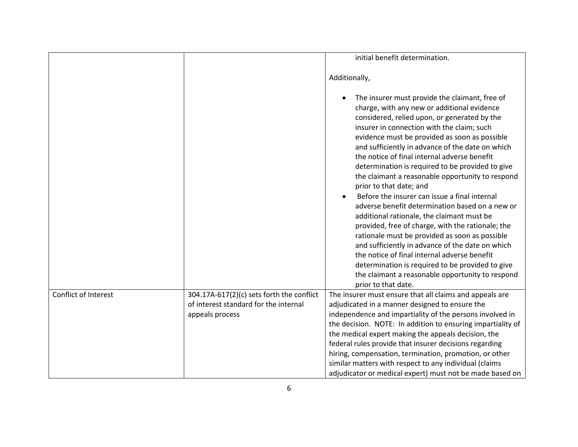|                      |                                                                                    | initial benefit determination.                                                                                                                                                                                                                                                                                                                                                                                                                                                                                                                                                                                                                                                                                                                                                                                                                                                                                                                                                  |
|----------------------|------------------------------------------------------------------------------------|---------------------------------------------------------------------------------------------------------------------------------------------------------------------------------------------------------------------------------------------------------------------------------------------------------------------------------------------------------------------------------------------------------------------------------------------------------------------------------------------------------------------------------------------------------------------------------------------------------------------------------------------------------------------------------------------------------------------------------------------------------------------------------------------------------------------------------------------------------------------------------------------------------------------------------------------------------------------------------|
|                      |                                                                                    | Additionally,                                                                                                                                                                                                                                                                                                                                                                                                                                                                                                                                                                                                                                                                                                                                                                                                                                                                                                                                                                   |
|                      |                                                                                    | The insurer must provide the claimant, free of<br>charge, with any new or additional evidence<br>considered, relied upon, or generated by the<br>insurer in connection with the claim; such<br>evidence must be provided as soon as possible<br>and sufficiently in advance of the date on which<br>the notice of final internal adverse benefit<br>determination is required to be provided to give<br>the claimant a reasonable opportunity to respond<br>prior to that date; and<br>Before the insurer can issue a final internal<br>adverse benefit determination based on a new or<br>additional rationale, the claimant must be<br>provided, free of charge, with the rationale; the<br>rationale must be provided as soon as possible<br>and sufficiently in advance of the date on which<br>the notice of final internal adverse benefit<br>determination is required to be provided to give<br>the claimant a reasonable opportunity to respond<br>prior to that date. |
| Conflict of Interest | 304.17A-617(2)(c) sets forth the conflict<br>of interest standard for the internal | The insurer must ensure that all claims and appeals are<br>adjudicated in a manner designed to ensure the                                                                                                                                                                                                                                                                                                                                                                                                                                                                                                                                                                                                                                                                                                                                                                                                                                                                       |
|                      | appeals process                                                                    | independence and impartiality of the persons involved in<br>the decision. NOTE: In addition to ensuring impartiality of<br>the medical expert making the appeals decision, the<br>federal rules provide that insurer decisions regarding<br>hiring, compensation, termination, promotion, or other<br>similar matters with respect to any individual (claims                                                                                                                                                                                                                                                                                                                                                                                                                                                                                                                                                                                                                    |
|                      |                                                                                    | adjudicator or medical expert) must not be made based on                                                                                                                                                                                                                                                                                                                                                                                                                                                                                                                                                                                                                                                                                                                                                                                                                                                                                                                        |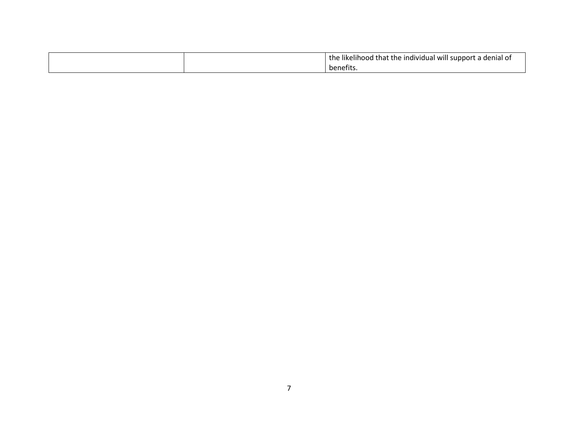|  | the likelihood that the individual will support a denial of |
|--|-------------------------------------------------------------|
|  | benefits                                                    |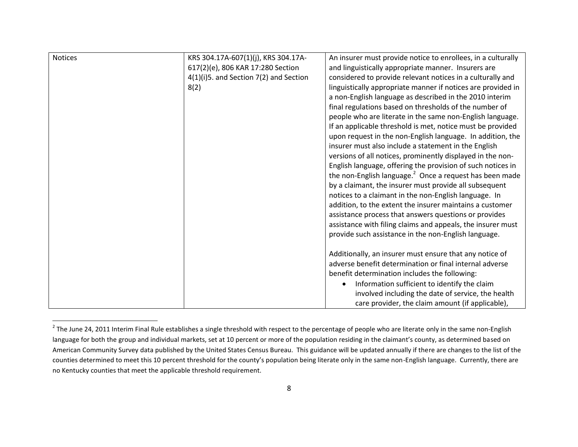| <b>Notices</b> | KRS 304.17A-607(1)(j), KRS 304.17A-    | An insurer must provide notice to enrollees, in a culturally        |
|----------------|----------------------------------------|---------------------------------------------------------------------|
|                | 617(2)(e), 806 KAR 17:280 Section      | and linguistically appropriate manner. Insurers are                 |
|                | 4(1)(i)5. and Section 7(2) and Section | considered to provide relevant notices in a culturally and          |
|                | 8(2)                                   | linguistically appropriate manner if notices are provided in        |
|                |                                        | a non-English language as described in the 2010 interim             |
|                |                                        | final regulations based on thresholds of the number of              |
|                |                                        | people who are literate in the same non-English language.           |
|                |                                        | If an applicable threshold is met, notice must be provided          |
|                |                                        | upon request in the non-English language. In addition, the          |
|                |                                        | insurer must also include a statement in the English                |
|                |                                        | versions of all notices, prominently displayed in the non-          |
|                |                                        | English language, offering the provision of such notices in         |
|                |                                        | the non-English language. <sup>2</sup> Once a request has been made |
|                |                                        | by a claimant, the insurer must provide all subsequent              |
|                |                                        | notices to a claimant in the non-English language. In               |
|                |                                        | addition, to the extent the insurer maintains a customer            |
|                |                                        | assistance process that answers questions or provides               |
|                |                                        | assistance with filing claims and appeals, the insurer must         |
|                |                                        | provide such assistance in the non-English language.                |
|                |                                        |                                                                     |
|                |                                        | Additionally, an insurer must ensure that any notice of             |
|                |                                        | adverse benefit determination or final internal adverse             |
|                |                                        | benefit determination includes the following:                       |
|                |                                        | Information sufficient to identify the claim                        |
|                |                                        | involved including the date of service, the health                  |
|                |                                        | care provider, the claim amount (if applicable),                    |
|                |                                        |                                                                     |

The June 24, 2011 Interim Final Rule establishes a single threshold with respect to the percentage of people who are literate only in the same non-English<br><sup>2</sup> The June 24, 2011 Interim Final Rule establishes a single thres language for both the group and individual markets, set at 10 percent or more of the population residing in the claimant's county, as determined based on American Community Survey data published by the United States Census Bureau. This guidance will be updated annually if there are changes to the list of the counties determined to meet this 10 percent threshold for the county's population being literate only in the same non-English language. Currently, there are no Kentucky counties that meet the applicable threshold requirement.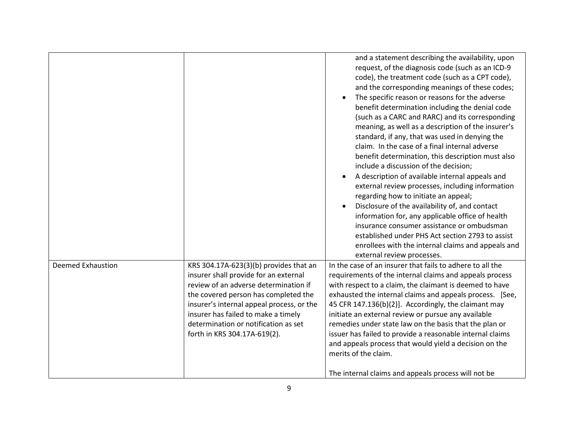|                          |                                                                                                                                                                                                                                                                                                                              | and a statement describing the availability, upon<br>request, of the diagnosis code (such as an ICD-9<br>code), the treatment code (such as a CPT code),<br>and the corresponding meanings of these codes;<br>The specific reason or reasons for the adverse<br>benefit determination including the denial code<br>(such as a CARC and RARC) and its corresponding<br>meaning, as well as a description of the insurer's<br>standard, if any, that was used in denying the<br>claim. In the case of a final internal adverse<br>benefit determination, this description must also<br>include a discussion of the decision;<br>A description of available internal appeals and<br>external review processes, including information<br>regarding how to initiate an appeal;<br>Disclosure of the availability of, and contact<br>information for, any applicable office of health<br>insurance consumer assistance or ombudsman<br>established under PHS Act section 2793 to assist<br>enrollees with the internal claims and appeals and |
|--------------------------|------------------------------------------------------------------------------------------------------------------------------------------------------------------------------------------------------------------------------------------------------------------------------------------------------------------------------|-----------------------------------------------------------------------------------------------------------------------------------------------------------------------------------------------------------------------------------------------------------------------------------------------------------------------------------------------------------------------------------------------------------------------------------------------------------------------------------------------------------------------------------------------------------------------------------------------------------------------------------------------------------------------------------------------------------------------------------------------------------------------------------------------------------------------------------------------------------------------------------------------------------------------------------------------------------------------------------------------------------------------------------------|
| <b>Deemed Exhaustion</b> | KRS 304.17A-623(3)(b) provides that an<br>insurer shall provide for an external<br>review of an adverse determination if<br>the covered person has completed the<br>insurer's internal appeal process, or the<br>insurer has failed to make a timely<br>determination or notification as set<br>forth in KRS 304.17A-619(2). | external review processes.<br>In the case of an insurer that fails to adhere to all the<br>requirements of the internal claims and appeals process<br>with respect to a claim, the claimant is deemed to have<br>exhausted the internal claims and appeals process. [See,<br>45 CFR 147.136(b)(2)]. Accordingly, the claimant may<br>initiate an external review or pursue any available<br>remedies under state law on the basis that the plan or<br>issuer has failed to provide a reasonable internal claims<br>and appeals process that would yield a decision on the<br>merits of the claim.<br>The internal claims and appeals process will not be                                                                                                                                                                                                                                                                                                                                                                                |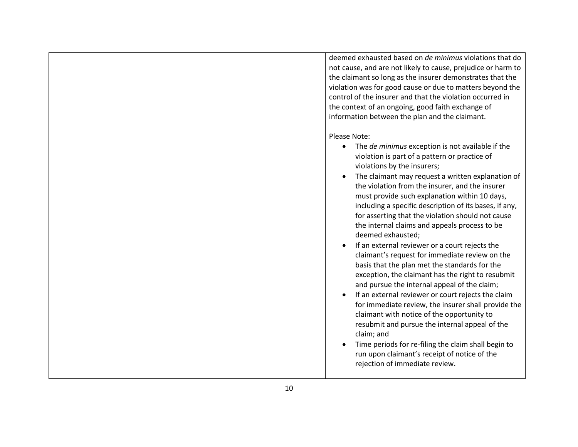|  | deemed exhausted based on de minimus violations that do<br>not cause, and are not likely to cause, prejudice or harm to<br>the claimant so long as the insurer demonstrates that the<br>violation was for good cause or due to matters beyond the<br>control of the insurer and that the violation occurred in<br>the context of an ongoing, good faith exchange of<br>information between the plan and the claimant.                                                                                                                                                                                                                                                                                                                                                                                                                                                                                                                                                                                                                                                                                                                     |
|--|-------------------------------------------------------------------------------------------------------------------------------------------------------------------------------------------------------------------------------------------------------------------------------------------------------------------------------------------------------------------------------------------------------------------------------------------------------------------------------------------------------------------------------------------------------------------------------------------------------------------------------------------------------------------------------------------------------------------------------------------------------------------------------------------------------------------------------------------------------------------------------------------------------------------------------------------------------------------------------------------------------------------------------------------------------------------------------------------------------------------------------------------|
|  |                                                                                                                                                                                                                                                                                                                                                                                                                                                                                                                                                                                                                                                                                                                                                                                                                                                                                                                                                                                                                                                                                                                                           |
|  | Please Note:<br>The de minimus exception is not available if the<br>$\bullet$<br>violation is part of a pattern or practice of<br>violations by the insurers;<br>The claimant may request a written explanation of<br>the violation from the insurer, and the insurer<br>must provide such explanation within 10 days,<br>including a specific description of its bases, if any,<br>for asserting that the violation should not cause<br>the internal claims and appeals process to be<br>deemed exhausted;<br>If an external reviewer or a court rejects the<br>claimant's request for immediate review on the<br>basis that the plan met the standards for the<br>exception, the claimant has the right to resubmit<br>and pursue the internal appeal of the claim;<br>If an external reviewer or court rejects the claim<br>for immediate review, the insurer shall provide the<br>claimant with notice of the opportunity to<br>resubmit and pursue the internal appeal of the<br>claim; and<br>Time periods for re-filing the claim shall begin to<br>run upon claimant's receipt of notice of the<br>rejection of immediate review. |
|  |                                                                                                                                                                                                                                                                                                                                                                                                                                                                                                                                                                                                                                                                                                                                                                                                                                                                                                                                                                                                                                                                                                                                           |